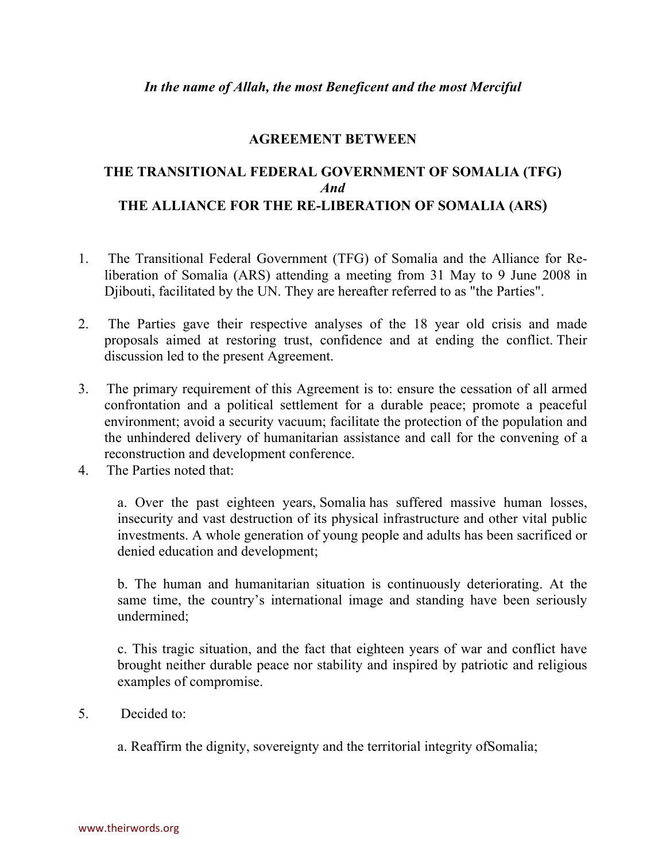## **AGREEMENT BETWEEN**

## **THE TRANSITIONAL FEDERAL GOVERNMENT OF SOMALIA (TFG)** *And* **THE ALLIANCE FOR THE RE-LIBERATION OF SOMALIA (ARS)**

- 1. The Transitional Federal Government (TFG) of Somalia and the Alliance for Reliberation of Somalia (ARS) attending a meeting from 31 May to 9 June 2008 in Djibouti, facilitated by the UN. They are hereafter referred to as "the Parties".
- 2. The Parties gave their respective analyses of the 18 year old crisis and made proposals aimed at restoring trust, confidence and at ending the conflict. Their discussion led to the present Agreement.
- 3. The primary requirement of this Agreement is to: ensure the cessation of all armed confrontation and a political settlement for a durable peace; promote a peaceful environment; avoid a security vacuum; facilitate the protection of the population and the unhindered delivery of humanitarian assistance and call for the convening of a reconstruction and development conference.
- 4. The Parties noted that:

a. Over the past eighteen years, Somalia has suffered massive human losses, insecurity and vast destruction of its physical infrastructure and other vital public investments. A whole generation of young people and adults has been sacrificed or denied education and development;

b. The human and humanitarian situation is continuously deteriorating. At the same time, the country's international image and standing have been seriously undermined;

c. This tragic situation, and the fact that eighteen years of war and conflict have brought neither durable peace nor stability and inspired by patriotic and religious examples of compromise.

5. Decided to:

a. Reaffirm the dignity, sovereignty and the territorial integrity ofSomalia;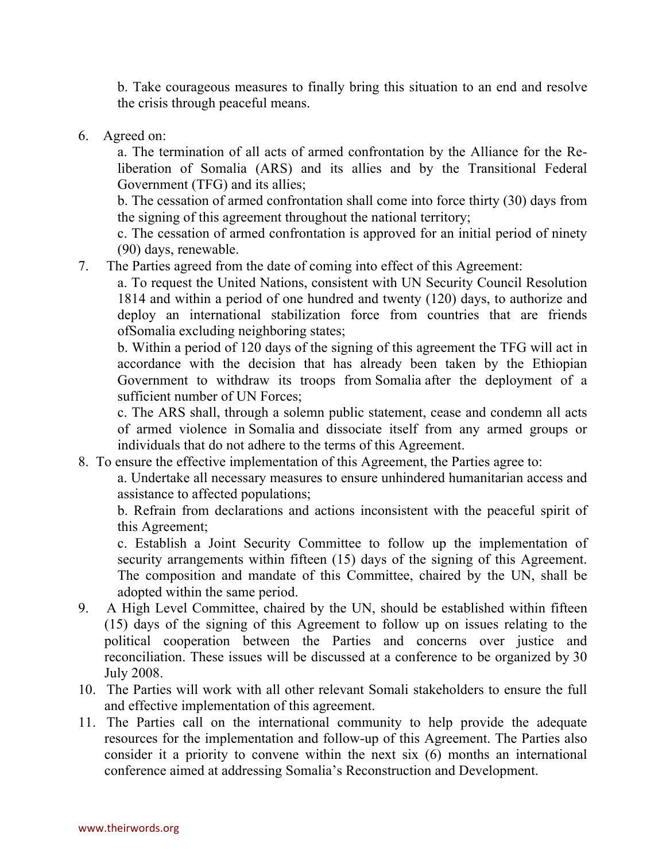b. Take courageous measures to finally bring this situation to an end and resolve the crisis through peaceful means.

6. Agreed on:

a. The termination of all acts of armed confrontation by the Alliance for the Reliberation of Somalia (ARS) and its allies and by the Transitional Federal Government (TFG) and its allies;

b. The cessation of armed confrontation shall come into force thirty (30) days from the signing of this agreement throughout the national territory;

c. The cessation of armed confrontation is approved for an initial period of ninety (90) days, renewable.

7. The Parties agreed from the date of coming into effect of this Agreement:

a. To request the United Nations, consistent with UN Security Council Resolution 1814 and within a period of one hundred and twenty (120) days, to authorize and deploy an international stabilization force from countries that are friends ofSomalia excluding neighboring states;

b. Within a period of 120 days of the signing of this agreement the TFG will act in accordance with the decision that has already been taken by the Ethiopian Government to withdraw its troops from Somalia after the deployment of a sufficient number of UN Forces;

c. The ARS shall, through a solemn public statement, cease and condemn all acts of armed violence in Somalia and dissociate itself from any armed groups or individuals that do not adhere to the terms of this Agreement.

8. To ensure the effective implementation of this Agreement, the Parties agree to:

a. Undertake all necessary measures to ensure unhindered humanitarian access and assistance to affected populations;

b. Refrain from declarations and actions inconsistent with the peaceful spirit of this Agreement;

c. Establish a Joint Security Committee to follow up the implementation of security arrangements within fifteen (15) days of the signing of this Agreement. The composition and mandate of this Committee, chaired by the UN, shall be adopted within the same period.

- 9. A High Level Committee, chaired by the UN, should be established within fifteen (15) days of the signing of this Agreement to follow up on issues relating to the political cooperation between the Parties and concerns over justice and reconciliation. These issues will be discussed at a conference to be organized by 30 July 2008.
- 10. The Parties will work with all other relevant Somali stakeholders to ensure the full and effective implementation of this agreement.
- 11. The Parties call on the international community to help provide the adequate resources for the implementation and follow-up of this Agreement. The Parties also consider it a priority to convene within the next six (6) months an international conference aimed at addressing Somalia's Reconstruction and Development.